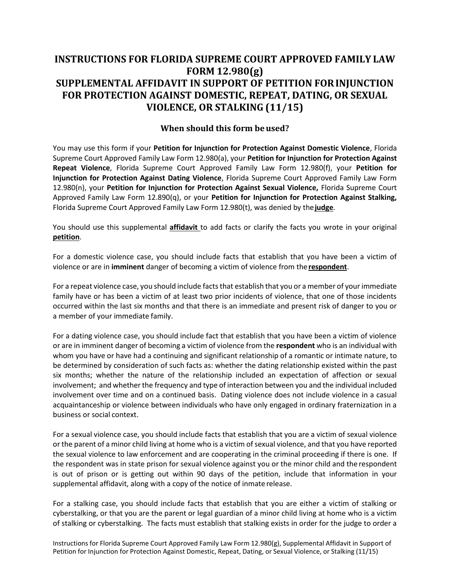# **INSTRUCTIONS FOR FLORIDA SUPREME COURT APPROVED FAMILY LAW FORM 12.980(g) SUPPLEMENTAL AFFIDAVIT IN SUPPORT OF PETITION FOR INJUNCTION FOR PROTECTION AGAINST DOMESTIC, REPEAT, DATING, OR SEXUAL VIOLENCE, OR STALKING (11/15)**

### **When should this form be used?**

 You may use this form if your **Petition for Injunction for Protection Against Domestic Violence**, Florida Supreme Court Approved Family Law Form 12.980(a), your **Petition for Injunction for Protection Against Repeat Violence**, Florida Supreme Court Approved Family Law Form 12.980(f), your **Petition for Injunction for Protection Against Dating Violence**, Florida Supreme Court Approved Family Law Form  12.980(n), your **Petition for Injunction for Protection Against Sexual Violence,** Florida Supreme Court Approved Family Law Form 12.890(q), or your **Petition for Injunction for Protection Against Stalking,**  Florida Supreme Court Approved Family Law Form 12.980(t), was denied by the**judge**.

 You should use this supplemental **affidavit** to add facts or clarify the facts you wrote in your original **petition**.

 For a domestic violence case, you should include facts that establish that you have been a victim of violence or are in **imminent** danger of becoming a victim of violence from the **respondent**.

 For a repeat violence case, you should include facts that establish that you or a member of your immediate family have or has been a victim of at least two prior incidents of violence, that one of those incidents occurred within the last six months and that there is an immediate and present risk of danger to you or a member of your immediate family.

 For a dating violence case, you should include fact that establish that you have been a victim of violence or are in imminent danger of becoming a victim of violence from the **respondent** who is an individual with whom you have or have had a continuing and significant relationship of a romantic or intimate nature, to be determined by consideration of such facts as: whether the dating relationship existed within the past six months; whether the nature of the relationship included an expectation of affection or sexual involvement; and whether the frequency and type of interaction between you and the individual included involvement over time and on a continued basis. Dating violence does not include violence in a casual acquaintanceship or violence between individuals who have only engaged in ordinary fraternization in a business or social context.

 or the parent of a minor child living at home who is a victim of sexual violence, and that you have reported the sexual violence to law enforcement and are cooperating in the criminal proceeding if there is one. If the respondent was in state prison for sexual violence against you or the minor child and the respondent is out of prison or is getting out within 90 days of the petition, include that information in your For a sexual violence case, you should include facts that establish that you are a victim of sexual violence supplemental affidavit, along with a copy of the notice of inmate release.

 For a stalking case, you should include facts that establish that you are either a victim of stalking or cyberstalking, or that you are the parent or legal guardian of a minor child living at home who is a victim of stalking or cyberstalking. The facts must establish that stalking exists in order for the judge to order a

 Instructions for Florida Supreme Court Approved Family Law Form 12.980(g), Supplemental Affidavit in Support of Petition for Injunction for Protection Against Domestic, Repeat, Dating, or Sexual Violence, or Stalking (11/15)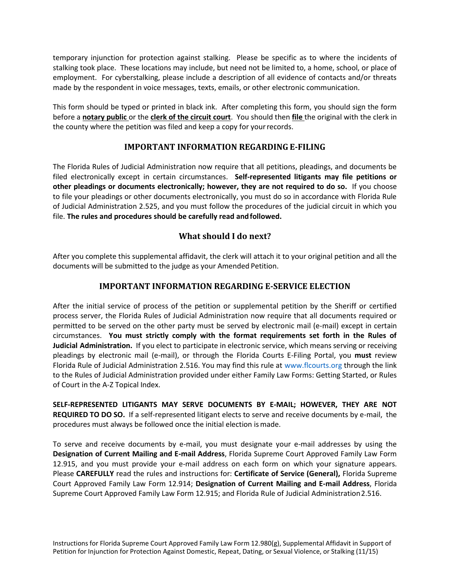temporary injunction for protection against stalking. Please be specific as to where the incidents of stalking took place. These locations may include, but need not be limited to, a home, school, or place of employment. For cyberstalking, please include a description of all evidence of contacts and/or threats made by the respondent in voice messages, texts, emails, or other electronic communication.

 This form should be typed or printed in black ink. After completing this form, you should sign the form the county where the petition was filed and keep a copy for your records. before a **notary public** or the **clerk of the circuit court**. You should then **file** the original with the clerk in

## **IMPORTANT INFORMATION REGARDING E-FILING**

 The Florida Rules of Judicial Administration now require that all petitions, pleadings, and documents be filed electronically except in certain circumstances. **Self-represented litigants may file petitions or other pleadings or documents electronically; however, they are not required to do so.** If you choose to file your pleadings or other documents electronically, you must do so in accordance with Florida Rule of Judicial Administration 2.525, and you must follow the procedures of the judicial circuit in which you  file. **The rules and procedures should be carefully read and followed.** 

## **What should I do next?**

 documents will be submitted to the judge as your Amended Petition. After you complete this supplemental affidavit, the clerk will attach it to your original petition and all the

#### **IMPORTANT INFORMATION REGARDING E-SERVICE ELECTION**

 After the initial service of process of the petition or supplemental petition by the Sheriff or certified process server, the Florida Rules of Judicial Administration now require that all documents required or permitted to be served on the other party must be served by electronic mail (e-mail) except in certain  circumstances. **You must strictly comply with the format requirements set forth in the Rules of Judicial Administration.** If you elect to participate in electronic service, which means serving or receiving pleadings by electronic mail (e-mail), or through the Florida Courts E-Filing Portal, you **must** review Florida Rule of Judicial Administration 2.516. You may find this rule at [www.flcourts.org](http://www.flcourts.org/) through the link to the Rules of Judicial Administration provided under either Family Law Forms: Getting Started, or Rules of Court in the A-Z Topical Index.

 **SELF-REPRESENTED LITIGANTS MAY SERVE DOCUMENTS BY E-MAIL; HOWEVER, THEY ARE NOT REQUIRED TO DO SO.** If a self-represented litigant elects to serve and receive documents by e-mail, the procedures must always be followed once the initial election is made.

 To serve and receive documents by e-mail, you must designate your e-mail addresses by using the  **Designation of Current Mailing and E-mail Address**, Florida Supreme Court Approved Family Law Form 12.915, and you must provide your e-mail address on each form on which your signature appears. Court Approved Family Law Form 12.914; **Designation of Current Mailing and E-mail Address**, Florida Supreme Court Approved Family Law Form 12.915; and Florida Rule of Judicial Administration2.516. Please **CAREFULLY** read the rules and instructions for: **Certificate of Service (General),** Florida Supreme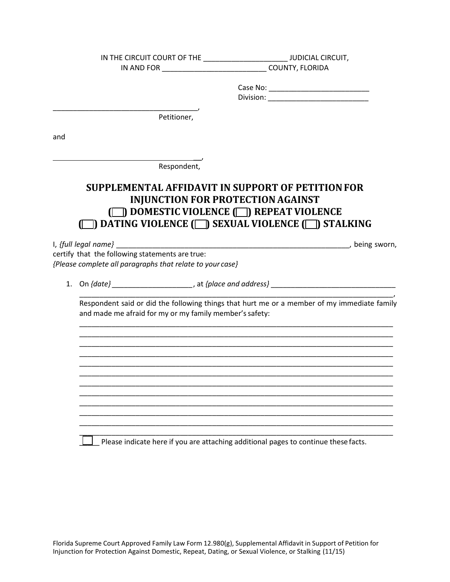| and made me afraid for my or my family member's safety: |                                                                               |                                                                                                                                                                                                                                                                                                                                                                                                                                                                                                                    |
|---------------------------------------------------------|-------------------------------------------------------------------------------|--------------------------------------------------------------------------------------------------------------------------------------------------------------------------------------------------------------------------------------------------------------------------------------------------------------------------------------------------------------------------------------------------------------------------------------------------------------------------------------------------------------------|
|                                                         |                                                                               |                                                                                                                                                                                                                                                                                                                                                                                                                                                                                                                    |
|                                                         |                                                                               |                                                                                                                                                                                                                                                                                                                                                                                                                                                                                                                    |
|                                                         |                                                                               |                                                                                                                                                                                                                                                                                                                                                                                                                                                                                                                    |
|                                                         |                                                                               |                                                                                                                                                                                                                                                                                                                                                                                                                                                                                                                    |
|                                                         |                                                                               |                                                                                                                                                                                                                                                                                                                                                                                                                                                                                                                    |
|                                                         |                                                                               |                                                                                                                                                                                                                                                                                                                                                                                                                                                                                                                    |
|                                                         |                                                                               |                                                                                                                                                                                                                                                                                                                                                                                                                                                                                                                    |
|                                                         |                                                                               |                                                                                                                                                                                                                                                                                                                                                                                                                                                                                                                    |
|                                                         |                                                                               |                                                                                                                                                                                                                                                                                                                                                                                                                                                                                                                    |
|                                                         | Petitioner,<br>Respondent,<br>certify that the following statements are true: | IN THE CIRCUIT COURT OF THE ____________________________JUDICIAL CIRCUIT,<br>SUPPLEMENTAL AFFIDAVIT IN SUPPORT OF PETITION FOR<br><b>INJUNCTION FOR PROTECTION AGAINST</b><br>DOMESTIC VIOLENCE ( REPEAT VIOLENCE<br>DATING VIOLENCE ( SEXUAL VIOLENCE ( STALKING<br>{Please complete all paragraphs that relate to your case}<br>1. On {date} _______________________, at {place and address} ____________________<br>Respondent said or did the following things that hurt me or a member of my immediate family |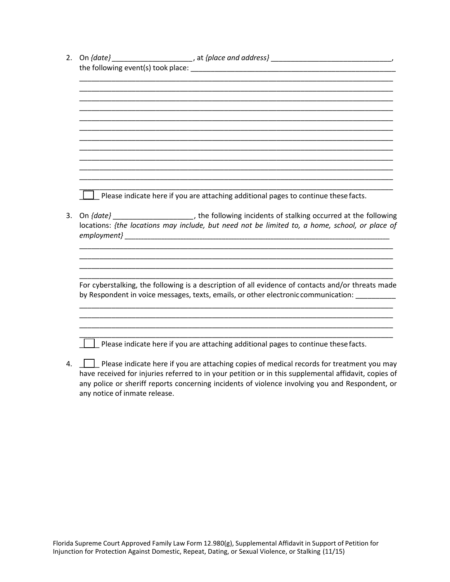|    | $\perp$ Please indicate here if you are attaching additional pages to continue these facts.          |
|----|------------------------------------------------------------------------------------------------------|
|    |                                                                                                      |
| 3. | On {date} _______________________, the following incidents of stalking occurred at the following     |
|    | locations: {the locations may include, but need not be limited to, a home, school, or place of       |
|    |                                                                                                      |
|    |                                                                                                      |
|    |                                                                                                      |
|    |                                                                                                      |
|    | For cyberstalking, the following is a description of all evidence of contacts and/or threats made    |
|    | by Respondent in voice messages, texts, emails, or other electronic communication:                   |
|    |                                                                                                      |
|    |                                                                                                      |
|    |                                                                                                      |
|    |                                                                                                      |
|    | $\Box$ Please indicate here if you are attaching additional pages to continue these facts.           |
|    | 4. Please indicate here if you are attaching copies of medical records for treatment you may         |
|    | have received for injuries referred to in your petition or in this supplemental affidavit, copies of |
|    | any police or sheriff reports concerning incidents of violence involving you and Respondent, or      |

any notice of inmate release.